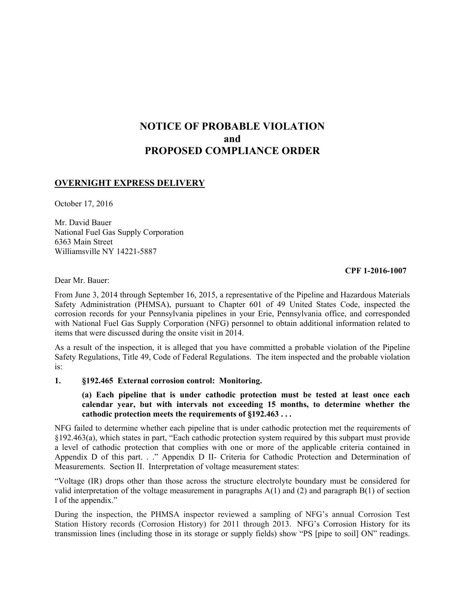# **NOTICE OF PROBABLE VIOLATION and PROPOSED COMPLIANCE ORDER**

### **OVERNIGHT EXPRESS DELIVERY**

October 17, 2016

Mr. David Bauer National Fuel Gas Supply Corporation 6363 Main Street Williamsville NY 14221-5887

#### **CPF 1-2016-1007**

Dear Mr. Bauer:

From June 3, 2014 through September 16, 2015, a representative of the Pipeline and Hazardous Materials Safety Administration (PHMSA), pursuant to Chapter 601 of 49 United States Code, inspected the corrosion records for your Pennsylvania pipelines in your Erie, Pennsylvania office, and corresponded with National Fuel Gas Supply Corporation (NFG) personnel to obtain additional information related to items that were discussed during the onsite visit in 2014.

As a result of the inspection, it is alleged that you have committed a probable violation of the Pipeline Safety Regulations, Title 49, Code of Federal Regulations. The item inspected and the probable violation is:

#### **1. §192.465 External corrosion control: Monitoring.**

#### **(a) Each pipeline that is under cathodic protection must be tested at least once each calendar year, but with intervals not exceeding 15 months, to determine whether the cathodic protection meets the requirements of §192.463 . . .**

NFG failed to determine whether each pipeline that is under cathodic protection met the requirements of §192.463(a), which states in part, "Each cathodic protection system required by this subpart must provide a level of cathodic protection that complies with one or more of the applicable criteria contained in Appendix D of this part. . ." Appendix D II- Criteria for Cathodic Protection and Determination of Measurements. Section II. Interpretation of voltage measurement states:

"Voltage (IR) drops other than those across the structure electrolyte boundary must be considered for valid interpretation of the voltage measurement in paragraphs  $A(1)$  and (2) and paragraph  $B(1)$  of section I of the appendix."

During the inspection, the PHMSA inspector reviewed a sampling of NFG's annual Corrosion Test Station History records (Corrosion History) for 2011 through 2013. NFG's Corrosion History for its transmission lines (including those in its storage or supply fields) show "PS [pipe to soil] ON" readings.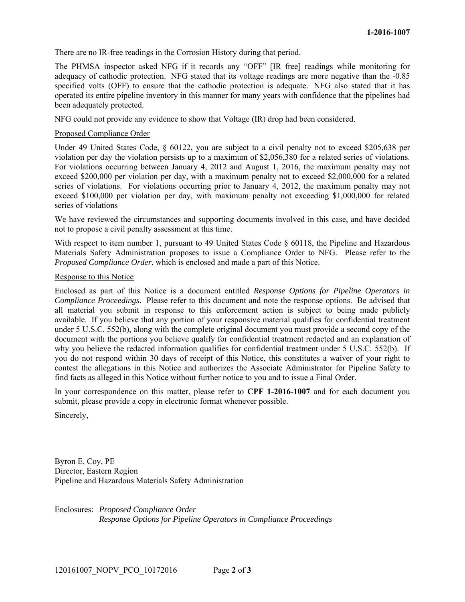There are no IR-free readings in the Corrosion History during that period.

The PHMSA inspector asked NFG if it records any "OFF" [IR free] readings while monitoring for adequacy of cathodic protection. NFG stated that its voltage readings are more negative than the -0.85 specified volts (OFF) to ensure that the cathodic protection is adequate. NFG also stated that it has operated its entire pipeline inventory in this manner for many years with confidence that the pipelines had been adequately protected.

NFG could not provide any evidence to show that Voltage (IR) drop had been considered.

#### Proposed Compliance Order

Under 49 United States Code, § 60122, you are subject to a civil penalty not to exceed \$205,638 per violation per day the violation persists up to a maximum of \$2,056,380 for a related series of violations. For violations occurring between January 4, 2012 and August 1, 2016, the maximum penalty may not exceed \$200,000 per violation per day, with a maximum penalty not to exceed \$2,000,000 for a related series of violations. For violations occurring prior to January 4, 2012, the maximum penalty may not exceed \$100,000 per violation per day, with maximum penalty not exceeding \$1,000,000 for related series of violations

We have reviewed the circumstances and supporting documents involved in this case, and have decided not to propose a civil penalty assessment at this time.

With respect to item number 1, pursuant to 49 United States Code § 60118, the Pipeline and Hazardous Materials Safety Administration proposes to issue a Compliance Order to NFG. Please refer to the *Proposed Compliance Order*, which is enclosed and made a part of this Notice.

#### Response to this Notice

Enclosed as part of this Notice is a document entitled *Response Options for Pipeline Operators in Compliance Proceedings*. Please refer to this document and note the response options. Be advised that all material you submit in response to this enforcement action is subject to being made publicly available. If you believe that any portion of your responsive material qualifies for confidential treatment under 5 U.S.C. 552(b), along with the complete original document you must provide a second copy of the document with the portions you believe qualify for confidential treatment redacted and an explanation of why you believe the redacted information qualifies for confidential treatment under 5 U.S.C. 552(b). If you do not respond within 30 days of receipt of this Notice, this constitutes a waiver of your right to contest the allegations in this Notice and authorizes the Associate Administrator for Pipeline Safety to find facts as alleged in this Notice without further notice to you and to issue a Final Order.

In your correspondence on this matter, please refer to **CPF 1-2016-1007** and for each document you submit, please provide a copy in electronic format whenever possible.

Sincerely,

Byron E. Coy, PE Director, Eastern Region Pipeline and Hazardous Materials Safety Administration

Enclosures: *Proposed Compliance Order Response Options for Pipeline Operators in Compliance Proceedings*